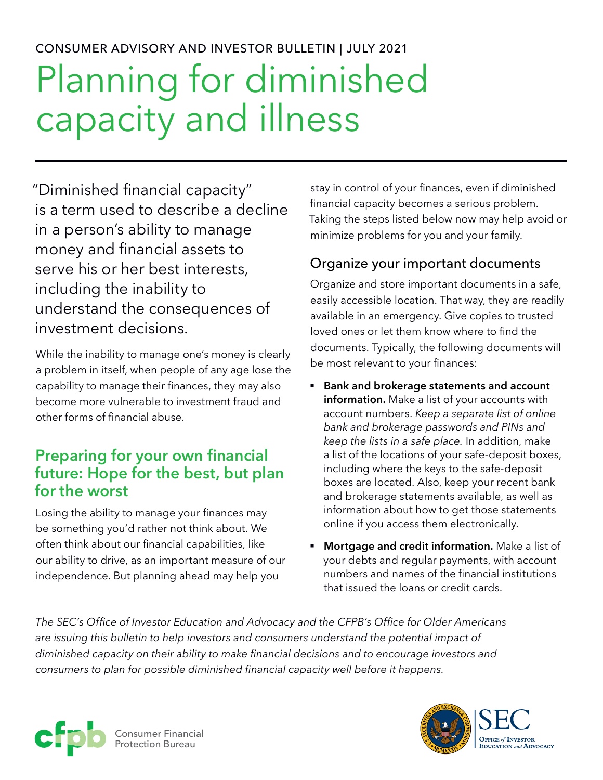# CONSUMER ADVISORY AND INVESTOR BULLETIN | JULY 2021 Planning for diminished capacity and illness

"Diminished financial capacity" is a term used to describe a decline in a person's ability to manage money and financial assets to serve his or her best interests, including the inability to understand the consequences of investment decisions.

While the inability to manage one's money is clearly a problem in itself, when people of any age lose the capability to manage their finances, they may also become more vulnerable to investment fraud and other forms of financial abuse.

# **Preparing for your own financial future: Hope for the best, but plan for the worst**

Losing the ability to manage your finances may be something you'd rather not think about. We often think about our financial capabilities, like our ability to drive, as an important measure of our independence. But planning ahead may help you

stay in control of your finances, even if diminished financial capacity becomes a serious problem. Taking the steps listed below now may help avoid or minimize problems for you and your family.

#### Organize your important documents

Organize and store important documents in a safe, easily accessible location. That way, they are readily available in an emergency. Give copies to trusted loved ones or let them know where to find the documents. Typically, the following documents will be most relevant to your finances:

- § **Bank and brokerage statements and account information.** Make a list of your accounts with account numbers. *Keep a separate list of online bank and brokerage passwords and PINs and keep the lists in a safe place.* In addition, make a list of the locations of your safe-deposit boxes, including where the keys to the safe-deposit boxes are located. Also, keep your recent bank and brokerage statements available, as well as information about how to get those statements online if you access them electronically.
- **Mortgage and credit information.** Make a list of your debts and regular payments, with account numbers and names of the financial institutions that issued the loans or credit cards.

*The SEC's Office of Investor Education and Advocacy and the CFPB's Office for Older Americans are issuing this bulletin to help investors and consumers understand the potential impact of diminished capacity on their ability to make financial decisions and to encourage investors and consumers to plan for possible diminished financial capacity well before it happens.*



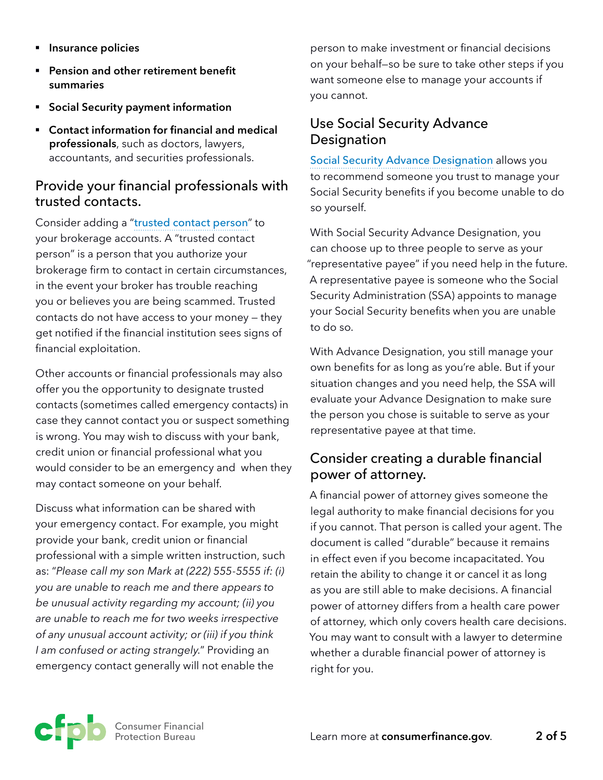- § **Insurance policies**
- Pension and other retirement benefit **summaries**
- § **Social Security payment information**
- § **Contact information for financial and medical professionals**, such as doctors, lawyers, accountants, and securities professionals.

#### Provide your financial professionals with trusted contacts.

Consider adding a "[trusted contact person](https://www.sec.gov/oiea/investor-alerts-and-bulletins/ib_trustedcontact)" to your brokerage accounts. A "trusted contact person" is a person that you authorize your brokerage firm to contact in certain circumstances, in the event your broker has trouble reaching you or believes you are being scammed. Trusted contacts do not have access to your money — they get notified if the financial institution sees signs of financial exploitation.

Other accounts or financial professionals may also offer you the opportunity to designate trusted contacts (sometimes called emergency contacts) in case they cannot contact you or suspect something is wrong. You may wish to discuss with your bank, credit union or financial professional what you would consider to be an emergency and when they may contact someone on your behalf.

Discuss what information can be shared with your emergency contact. For example, you might provide your bank, credit union or financial professional with a simple written instruction, such as: "*Please call my son Mark at (222) 555-5555 if: (i) you are unable to reach me and there appears to be unusual activity regarding my account; (ii) you are unable to reach me for two weeks irrespective of any unusual account activity; or (iii) if you think I am confused or acting strangely.*" Providing an emergency contact generally will not enable the

person to make investment or financial decisions on your behalf—so be sure to take other steps if you want someone else to manage your accounts if you cannot.

#### Use Social Security Advance Designation

[Social Security Advance Designation](https://www.consumerfinance.gov/consumer-tools/educator-tools/resources-for-older-adults/financial-security-as-you-age/social-security-advance-designation/) allows you to recommend someone you trust to manage your Social Security benefits if you become unable to do so yourself.

With Social Security Advance Designation, you can choose up to three people to serve as your "representative payee" if you need help in the future. A representative payee is someone who the Social Security Administration (SSA) appoints to manage your Social Security benefits when you are unable to do so.

With Advance Designation, you still manage your own benefits for as long as you're able. But if your situation changes and you need help, the SSA will evaluate your Advance Designation to make sure the person you chose is suitable to serve as your representative payee at that time.

#### Consider creating a durable financial power of attorney.

A financial power of attorney gives someone the legal authority to make financial decisions for you if you cannot. That person is called your agent. The document is called "durable" because it remains in effect even if you become incapacitated. You retain the ability to change it or cancel it as long as you are still able to make decisions. A financial power of attorney differs from a health care power of attorney, which only covers health care decisions. You may want to consult with a lawyer to determine whether a durable financial power of attorney is right for you.

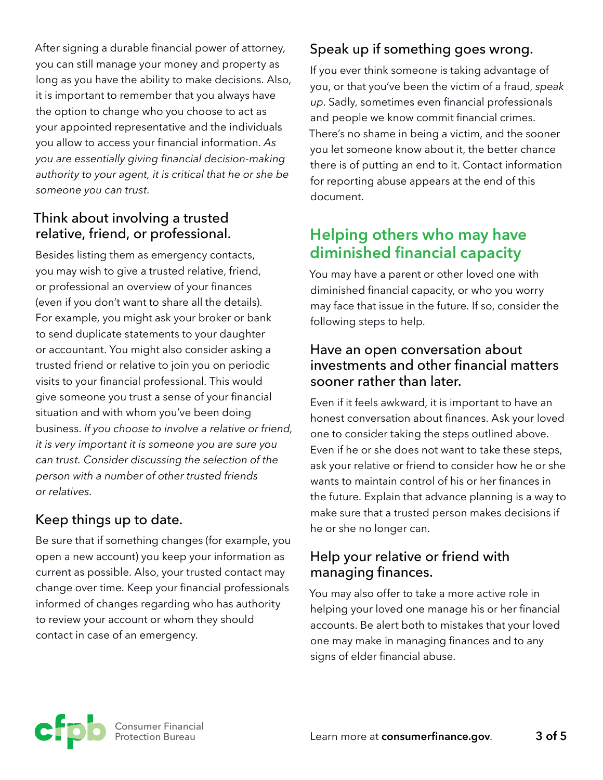After signing a durable financial power of attorney, you can still manage your money and property as long as you have the ability to make decisions. Also, it is important to remember that you always have the option to change who you choose to act as your appointed representative and the individuals you allow to access your financial information. *As you are essentially giving financial decision-making authority to your agent, it is critical that he or she be someone you can trust.*

#### Think about involving a trusted relative, friend, or professional.

Besides listing them as emergency contacts, you may wish to give a trusted relative, friend, or professional an overview of your finances (even if you don't want to share all the details). For example, you might ask your broker or bank to send duplicate statements to your daughter or accountant. You might also consider asking a trusted friend or relative to join you on periodic visits to your financial professional. This would give someone you trust a sense of your financial situation and with whom you've been doing business. *If you choose to involve a relative or friend, it is very important it is someone you are sure you can trust. Consider discussing the selection of the person with a number of other trusted friends or relatives.*

## Keep things up to date.

Be sure that if something changes (for example, you open a new account) you keep your information as current as possible. Also, your trusted contact may change over time. Keep your financial professionals informed of changes regarding who has authority to review your account or whom they should contact in case of an emergency.

## Speak up if something goes wrong.

If you ever think someone is taking advantage of you, or that you've been the victim of a fraud, *speak up*. Sadly, sometimes even financial professionals and people we know commit financial crimes. There's no shame in being a victim, and the sooner you let someone know about it, the better chance there is of putting an end to it. Contact information for reporting abuse appears at the end of this document.

# **Helping others who may have diminished financial capacity**

You may have a parent or other loved one with diminished financial capacity, or who you worry may face that issue in the future. If so, consider the following steps to help.

#### Have an open conversation about investments and other financial matters sooner rather than later.

Even if it feels awkward, it is important to have an honest conversation about finances. Ask your loved one to consider taking the steps outlined above. Even if he or she does not want to take these steps, ask your relative or friend to consider how he or she wants to maintain control of his or her finances in the future. Explain that advance planning is a way to make sure that a trusted person makes decisions if he or she no longer can.

#### Help your relative or friend with managing finances.

You may also offer to take a more active role in helping your loved one manage his or her financial accounts. Be alert both to mistakes that your loved one may make in managing finances and to any signs of elder financial abuse.

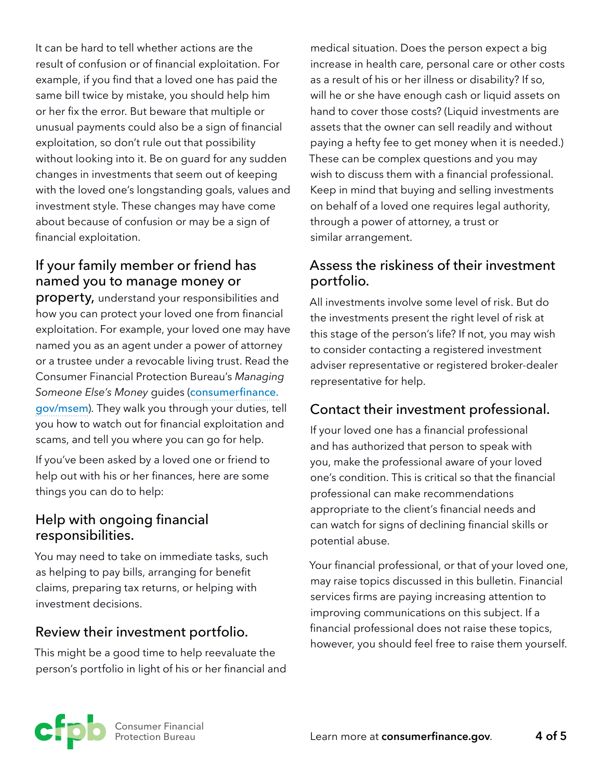It can be hard to tell whether actions are the result of confusion or of financial exploitation. For example, if you find that a loved one has paid the same bill twice by mistake, you should help him or her fix the error. But beware that multiple or unusual payments could also be a sign of financial exploitation, so don't rule out that possibility without looking into it. Be on guard for any sudden changes in investments that seem out of keeping with the loved one's longstanding goals, values and investment style. These changes may have come about because of confusion or may be a sign of financial exploitation.

## If your family member or friend has named you to manage money or

property, understand your responsibilities and how you can protect your loved one from financial exploitation. For example, your loved one may have named you as an agent under a power of attorney or a trustee under a revocable living trust. Read the Consumer Financial Protection Bureau's *Managing*  Someone Else's Money quides ([consumerfinance.](https://www.consumerfinance.gov/consumer-tools/managing-someone-elses-money/) [gov/msem](https://www.consumerfinance.gov/consumer-tools/managing-someone-elses-money/)). They walk you through your duties, tell you how to watch out for financial exploitation and scams, and tell you where you can go for help.

If you've been asked by a loved one or friend to help out with his or her finances, here are some things you can do to help:

#### Help with ongoing financial responsibilities.

You may need to take on immediate tasks, such as helping to pay bills, arranging for benefit claims, preparing tax returns, or helping with investment decisions.

#### Review their investment portfolio.

This might be a good time to help reevaluate the person's portfolio in light of his or her financial and medical situation. Does the person expect a big increase in health care, personal care or other costs as a result of his or her illness or disability? If so, will he or she have enough cash or liquid assets on hand to cover those costs? (Liquid investments are assets that the owner can sell readily and without paying a hefty fee to get money when it is needed.) These can be complex questions and you may wish to discuss them with a financial professional. Keep in mind that buying and selling investments on behalf of a loved one requires legal authority, through a power of attorney, a trust or similar arrangement.

#### Assess the riskiness of their investment portfolio.

All investments involve some level of risk. But do the investments present the right level of risk at this stage of the person's life? If not, you may wish to consider contacting a registered investment adviser representative or registered broker-dealer representative for help.

#### Contact their investment professional.

If your loved one has a financial professional and has authorized that person to speak with you, make the professional aware of your loved one's condition. This is critical so that the financial professional can make recommendations appropriate to the client's financial needs and can watch for signs of declining financial skills or potential abuse.

Your financial professional, or that of your loved one, may raise topics discussed in this bulletin. Financial services firms are paying increasing attention to improving communications on this subject. If a financial professional does not raise these topics, however, you should feel free to raise them yourself.